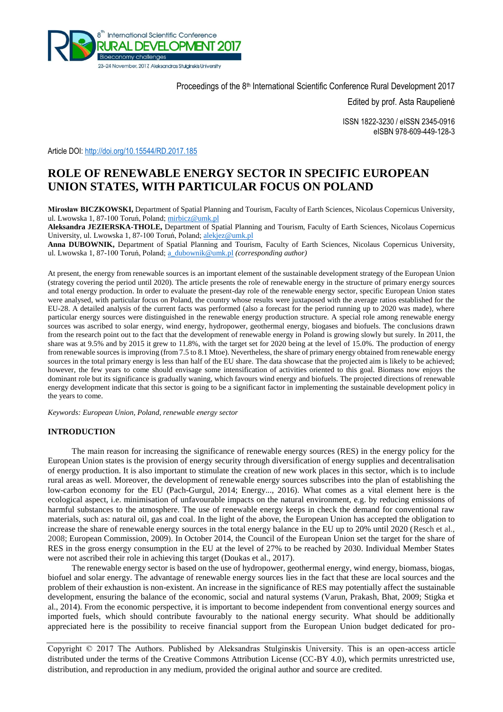

Proceedings of the 8<sup>th</sup> International Scientific Conference Rural Development 2017

Edited by prof. Asta Raupelienė

ISSN 1822-3230 / eISSN 2345-0916 eISBN 978-609-449-128-3

Article DOI:<http://doi.org/10.15544/RD.2017.185>

# **ROLE OF RENEWABLE ENERGY SECTOR IN SPECIFIC EUROPEAN UNION STATES, WITH PARTICULAR FOCUS ON POLAND**

**Mirosław BICZKOWSKI,** Department of Spatial Planning and Tourism, Faculty of Earth Sciences, Nicolaus Copernicus University, ul. Lwowska 1, 87-100 Toruń, Poland[; mirbicz@umk.pl](mailto:mirbicz@umk.pl)

**Aleksandra JEZIERSKA-THOLE,** Department of Spatial Planning and Tourism, Faculty of Earth Sciences, Nicolaus Copernicus University, ul. Lwowska 1, 87-100 Toruń, Poland; [alekjez@umk.pl](mailto:alekjez@umk.pl)

**Anna DUBOWNIK,** Department of Spatial Planning and Tourism, Faculty of Earth Sciences, Nicolaus Copernicus University, ul. Lwowska 1, 87-100 Toruń, Poland[; a\\_dubownik@umk.pl](mailto:a_dubownik@umk.pl) *(corresponding author)*

At present, the energy from renewable sources is an important element of the sustainable development strategy of the European Union (strategy covering the period until 2020). The article presents the role of renewable energy in the structure of primary energy sources and total energy production. In order to evaluate the present-day role of the renewable energy sector, specific European Union states were analysed, with particular focus on Poland, the country whose results were juxtaposed with the average ratios established for the EU-28. A detailed analysis of the current facts was performed (also a forecast for the period running up to 2020 was made), where particular energy sources were distinguished in the renewable energy production structure. A special role among renewable energy sources was ascribed to solar energy, wind energy, hydropower, geothermal energy, biogases and biofuels. The conclusions drawn from the research point out to the fact that the development of renewable energy in Poland is growing slowly but surely. In 2011, the share was at 9.5% and by 2015 it grew to 11.8%, with the target set for 2020 being at the level of 15.0%. The production of energy from renewable sources is improving (from 7.5 to 8.1 Mtoe). Nevertheless, the share of primary energy obtained from renewable energy sources in the total primary energy is less than half of the EU share. The data showcase that the projected aim is likely to be achieved; however, the few years to come should envisage some intensification of activities oriented to this goal. Biomass now enjoys the dominant role but its significance is gradually waning, which favours wind energy and biofuels. The projected directions of renewable energy development indicate that this sector is going to be a significant factor in implementing the sustainable development policy in the years to come.

*Keywords: European Union, Poland, renewable energy sector* 

## **INTRODUCTION**

The main reason for increasing the significance of renewable energy sources (RES) in the energy policy for the European Union states is the provision of energy security through diversification of energy supplies and decentralisation of energy production. It is also important to stimulate the creation of new work places in this sector, which is to include rural areas as well. Moreover, the development of renewable energy sources subscribes into the plan of establishing the low-carbon economy for the EU (Pach-Gurgul, 2014; Energy..., 2016). What comes as a vital element here is the ecological aspect, i.e. minimisation of unfavourable impacts on the natural environment, e.g. by reducing emissions of harmful substances to the atmosphere. The use of renewable energy keeps in check the demand for conventional raw materials, such as: natural oil, gas and coal. In the light of the above, the European Union has accepted the obligation to increase the share of renewable energy sources in the total energy balance in the EU up to 20% until 2020 (Resch et al., 2008; European Commission, 2009). In October 2014, the Council of the European Union set the target for the share of RES in the gross energy consumption in the EU at the level of 27% to be reached by 2030. Individual Member States were not ascribed their role in achieving this target (Doukas et al., 2017).

The renewable energy sector is based on the use of hydropower, geothermal energy, wind energy, biomass, biogas, biofuel and solar energy. The advantage of renewable energy sources lies in the fact that these are local sources and the problem of their exhaustion is non-existent. An increase in the significance of RES may potentially affect the sustainable development, ensuring the balance of the economic, social and natural systems (Varun, Prakash, Bhat, 2009; Stigka et al., 2014). From the economic perspective, it is important to become independent from conventional energy sources and imported fuels, which should contribute favourably to the national energy security. What should be additionally appreciated here is the possibility to receive financial support from the European Union budget dedicated for pro-

Copyright © 2017 The Authors. Published by Aleksandras Stulginskis University. This is an open-access article distributed under the terms of the Creative Commons Attribution License (CC-BY 4.0), which permits unrestricted use, distribution, and reproduction in any medium, provided the original author and source are credited.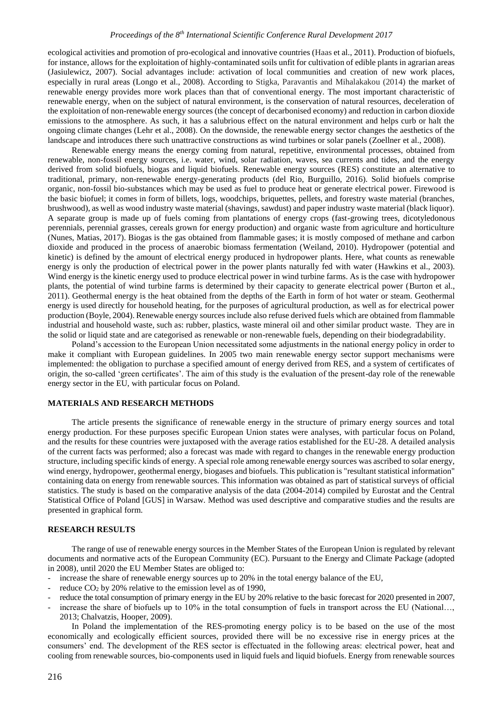ecological activities and promotion of pro-ecological and innovative countries (Haas et al., 2011). Production of biofuels, for instance, allows for the exploitation of highly-contaminated soils unfit for cultivation of edible plants in agrarian areas (Jasiulewicz, 2007). Social advantages include: activation of local communities and creation of new work places, especially in rural areas (Longo et al., 2008). According to Stigka, Paravantis and Mihalakakou (2014) the market of renewable energy provides more work places than that of conventional energy. The most important characteristic of renewable energy, when on the subject of natural environment, is the conservation of natural resources, deceleration of the exploitation of non-renewable energy sources (the concept of decarbonised economy) and reduction in carbon dioxide emissions to the atmosphere. As such, it has a salubrious effect on the natural environment and helps curb or halt the ongoing climate changes (Lehr et al., 2008). On the downside, the renewable energy sector changes the aesthetics of the landscape and introduces there such unattractive constructions as wind turbines or solar panels (Zoellner et al., 2008).

Renewable energy means the energy coming from natural, repetitive, environmental processes, obtained from renewable, non-fossil energy sources, i.e. water, wind, solar radiation, waves, sea currents and tides, and the energy derived from solid biofuels, biogas and liquid biofuels. Renewable energy sources (RES) constitute an alternative to traditional, primary, non-renewable energy-generating products (del Rio, Burguillo, 2016). Solid biofuels comprise organic, non-fossil bio-substances which may be used as fuel to produce heat or generate electrical power. Firewood is the basic biofuel; it comes in form of billets, logs, woodchips, briquettes, pellets, and forestry waste material (branches, brushwood), as well as wood industry waste material (shavings, sawdust) and paper industry waste material (black liquor). A separate group is made up of fuels coming from plantations of energy crops (fast-growing trees, dicotyledonous perennials, perennial grasses, cereals grown for energy production) and organic waste from agriculture and horticulture (Nunes, Matias, 2017). Biogas is the gas obtained from flammable gases; it is mostly composed of methane and carbon dioxide and produced in the process of anaerobic biomass fermentation (Weiland, 2010). Hydropower (potential and kinetic) is defined by the amount of electrical energy produced in hydropower plants. Here, what counts as renewable energy is only the production of electrical power in the power plants naturally fed with water (Hawkins et al., 2003). Wind energy is the kinetic energy used to produce electrical power in wind turbine farms. As is the case with hydropower plants, the potential of wind turbine farms is determined by their capacity to generate electrical power (Burton et al., 2011). Geothermal energy is the heat obtained from the depths of the Earth in form of hot water or steam. Geothermal energy is used directly for household heating, for the purposes of agricultural production, as well as for electrical power production (Boyle, 2004). Renewable energy sources include also refuse derived fuels which are obtained from flammable industrial and household waste, such as: rubber, plastics, waste mineral oil and other similar product waste. They are in the solid or liquid state and are categorised as renewable or non-renewable fuels, depending on their biodegradability.

Poland's accession to the European Union necessitated some adjustments in the national energy policy in order to make it compliant with European guidelines. In 2005 two main renewable energy sector support mechanisms were implemented: the obligation to purchase a specified amount of energy derived from RES, and a system of certificates of origin, the so-called 'green certificates'. The aim of this study is the evaluation of the present-day role of the renewable energy sector in the EU, with particular focus on Poland.

#### **MATERIALS AND RESEARCH METHODS**

The article presents the significance of renewable energy in the structure of primary energy sources and total energy production. For these purposes specific European Union states were analyses, with particular focus on Poland, and the results for these countries were juxtaposed with the average ratios established for the EU-28. A detailed analysis of the current facts was performed; also a forecast was made with regard to changes in the renewable energy production structure, including specific kinds of energy. A special role among renewable energy sources was ascribed to solar energy, wind energy, hydropower, geothermal energy, biogases and biofuels. This publication is "resultant statistical information" containing data on energy from renewable sources. This information was obtained as part of statistical surveys of official statistics. The study is based on the comparative analysis of the data (2004-2014) compiled by Eurostat and the Central Statistical Office of Poland [GUS] in Warsaw. Method was used descriptive and comparative studies and the results are presented in graphical form.

#### **RESEARCH RESULTS**

The range of use of renewable energy sources in the Member States of the European Union is regulated by relevant documents and normative acts of the European Community (EC). Pursuant to the Energy and Climate Package (adopted in 2008), until 2020 the EU Member States are obliged to:

- increase the share of renewable energy sources up to 20% in the total energy balance of the EU,
- reduce  $CO<sub>2</sub>$  by 20% relative to the emission level as of 1990,
- reduce the total consumption of primary energy in the EU by 20% relative to the basic forecast for 2020 presented in 2007,
- increase the share of biofuels up to 10% in the total consumption of fuels in transport across the EU (National…, 2013; Chalvatzis, Hooper, 2009).

In Poland the implementation of the RES-promoting energy policy is to be based on the use of the most economically and ecologically efficient sources, provided there will be no excessive rise in energy prices at the consumers' end. The development of the RES sector is effectuated in the following areas: electrical power, heat and cooling from renewable sources, bio-components used in liquid fuels and liquid biofuels. Energy from renewable sources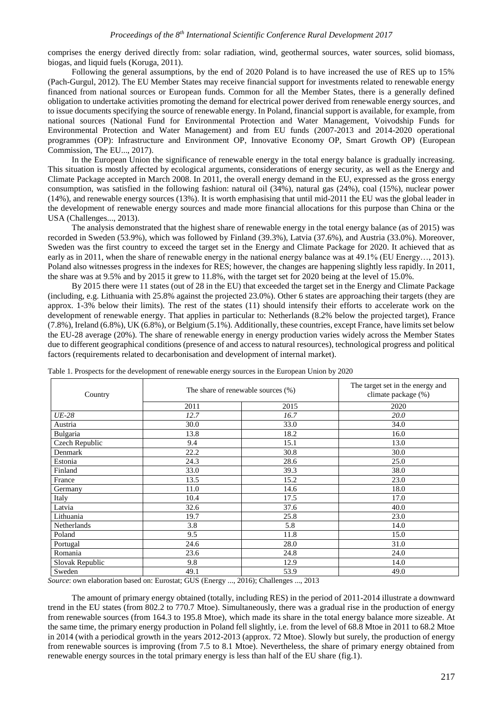comprises the energy derived directly from: solar radiation, wind, geothermal sources, water sources, solid biomass, biogas, and liquid fuels (Koruga, 2011).

Following the general assumptions, by the end of 2020 Poland is to have increased the use of RES up to 15% (Pach-Gurgul, 2012). The EU Member States may receive financial support for investments related to renewable energy financed from national sources or European funds. Common for all the Member States, there is a generally defined obligation to undertake activities promoting the demand for electrical power derived from renewable energy sources, and to issue documents specifying the source of renewable energy. In Poland, financial support is available, for example, from national sources (National Fund for Environmental Protection and Water Management, Voivodship Funds for Environmental Protection and Water Management) and from EU funds (2007-2013 and 2014-2020 operational programmes (OP): Infrastructure and Environment OP, Innovative Economy OP, Smart Growth OP) (European Commission, The EU..., 2017).

In the European Union the significance of renewable energy in the total energy balance is gradually increasing. This situation is mostly affected by ecological arguments, considerations of energy security, as well as the Energy and Climate Package accepted in March 2008. In 2011, the overall energy demand in the EU, expressed as the gross energy consumption, was satisfied in the following fashion: natural oil (34%), natural gas (24%), coal (15%), nuclear power (14%), and renewable energy sources (13%). It is worth emphasising that until mid-2011 the EU was the global leader in the development of renewable energy sources and made more financial allocations for this purpose than China or the USA (Challenges..., 2013).

The analysis demonstrated that the highest share of renewable energy in the total energy balance (as of 2015) was recorded in Sweden (53.9%), which was followed by Finland (39.3%), Latvia (37.6%), and Austria (33.0%). Moreover, Sweden was the first country to exceed the target set in the Energy and Climate Package for 2020. It achieved that as early as in 2011, when the share of renewable energy in the national energy balance was at 49.1% (EU Energy…, 2013). Poland also witnesses progress in the indexes for RES; however, the changes are happening slightly less rapidly. In 2011, the share was at 9.5% and by 2015 it grew to 11.8%, with the target set for 2020 being at the level of 15.0%.

By 2015 there were 11 states (out of 28 in the EU) that exceeded the target set in the Energy and Climate Package (including, e.g. Lithuania with 25.8% against the projected 23.0%). Other 6 states are approaching their targets (they are approx. 1-3% below their limits). The rest of the states (11) should intensify their efforts to accelerate work on the development of renewable energy. That applies in particular to: Netherlands (8.2% below the projected target), France (7.8%), Ireland (6.8%), UK (6.8%), or Belgium (5.1%). Additionally, these countries, except France, have limits set below the EU-28 average (20%). The share of renewable energy in energy production varies widely across the Member States due to different geographical conditions (presence of and access to natural resources), technological progress and political factors (requirements related to decarbonisation and development of internal market).

| Country         | The share of renewable sources (%) |      | The target set in the energy and<br>climate package (%) |
|-----------------|------------------------------------|------|---------------------------------------------------------|
|                 | 2011                               | 2015 | 2020                                                    |
| $UE-28$         | 12.7                               | 16.7 | 20.0                                                    |
| Austria         | 30.0                               | 33.0 | 34.0                                                    |
| Bulgaria        | 13.8                               | 18.2 | 16.0                                                    |
| Czech Republic  | 9.4                                | 15.1 | 13.0                                                    |
| Denmark         | 22.2                               | 30.8 | 30.0                                                    |
| Estonia         | 24.3                               | 28.6 | 25.0                                                    |
| Finland         | 33.0                               | 39.3 | 38.0                                                    |
| France          | 13.5                               | 15.2 | 23.0                                                    |
| Germany         | 11.0                               | 14.6 | 18.0                                                    |
| Italy           | 10.4                               | 17.5 | 17.0                                                    |
| Latvia          | 32.6                               | 37.6 | 40.0                                                    |
| Lithuania       | 19.7                               | 25.8 | 23.0                                                    |
| Netherlands     | 3.8                                | 5.8  | 14.0                                                    |
| Poland          | 9.5                                | 11.8 | 15.0                                                    |
| Portugal        | 24.6                               | 28.0 | 31.0                                                    |
| Romania         | 23.6                               | 24.8 | 24.0                                                    |
| Slovak Republic | 9.8                                | 12.9 | 14.0                                                    |
| Sweden          | 49.1                               | 53.9 | 49.0                                                    |

Table 1. Prospects for the development of renewable energy sources in the European Union by 2020

*Source*: own elaboration based on: Eurostat; GUS (Energy ..., 2016); Challenges ..., 2013

The amount of primary energy obtained (totally, including RES) in the period of 2011-2014 illustrate a downward trend in the EU states (from 802.2 to 770.7 Mtoe). Simultaneously, there was a gradual rise in the production of energy from renewable sources (from 164.3 to 195.8 Mtoe), which made its share in the total energy balance more sizeable. At the same time, the primary energy production in Poland fell slightly, i.e. from the level of 68.8 Mtoe in 2011 to 68.2 Mtoe in 2014 (with a periodical growth in the years 2012-2013 (approx. 72 Mtoe). Slowly but surely, the production of energy from renewable sources is improving (from 7.5 to 8.1 Mtoe). Nevertheless, the share of primary energy obtained from renewable energy sources in the total primary energy is less than half of the EU share (fig.1).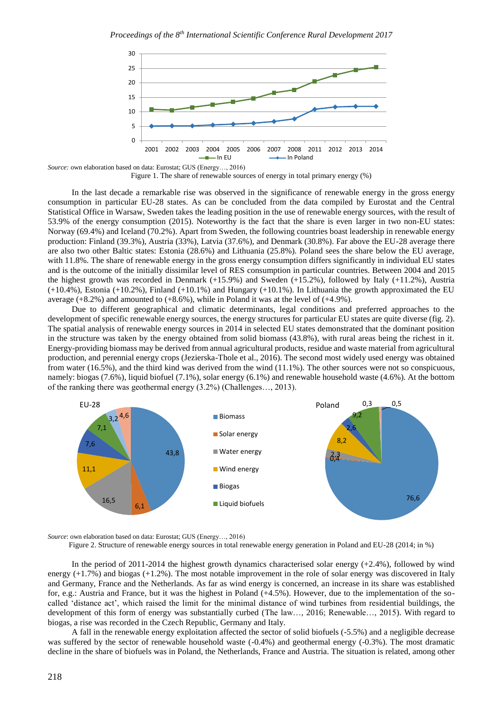

*Source:* own elaboration based on data: Eurostat; GUS (Energy…, 2016) Figure 1. The share of renewable sources of energy in total primary energy  $(\%)$ 

In the last decade a remarkable rise was observed in the significance of renewable energy in the gross energy consumption in particular EU-28 states. As can be concluded from the data compiled by Eurostat and the Central Statistical Office in Warsaw, Sweden takes the leading position in the use of renewable energy sources, with the result of 53.9% of the energy consumption (2015). Noteworthy is the fact that the share is even larger in two non-EU states: Norway (69.4%) and Iceland (70.2%). Apart from Sweden, the following countries boast leadership in renewable energy production: Finland (39.3%), Austria (33%), Latvia (37.6%), and Denmark (30.8%). Far above the EU-28 average there are also two other Baltic states: Estonia (28.6%) and Lithuania (25.8%). Poland sees the share below the EU average, with 11.8%. The share of renewable energy in the gross energy consumption differs significantly in individual EU states and is the outcome of the initially dissimilar level of RES consumption in particular countries. Between 2004 and 2015 the highest growth was recorded in Denmark (+15.9%) and Sweden (+15.2%), followed by Italy (+11.2%), Austria (+10.4%), Estonia (+10.2%), Finland (+10.1%) and Hungary (+10.1%). In Lithuania the growth approximated the EU average  $(+8.2\%)$  and amounted to  $(+8.6\%)$ , while in Poland it was at the level of  $(+4.9\%)$ .

Due to different geographical and climatic determinants, legal conditions and preferred approaches to the development of specific renewable energy sources, the energy structures for particular EU states are quite diverse (fig. 2). The spatial analysis of renewable energy sources in 2014 in selected EU states demonstrated that the dominant position in the structure was taken by the energy obtained from solid biomass (43.8%), with rural areas being the richest in it. Energy-providing biomass may be derived from annual agricultural products, residue and waste material from agricultural production, and perennial energy crops (Jezierska-Thole et al., 2016). The second most widely used energy was obtained from water (16.5%), and the third kind was derived from the wind (11.1%). The other sources were not so conspicuous, namely: biogas (7.6%), liquid biofuel (7.1%), solar energy (6.1%) and renewable household waste (4.6%). At the bottom of the ranking there was geothermal energy (3.2%) (Challenges…, 2013).



*Source*: own elaboration based on data: Eurostat; GUS (Energy…, 2016)

Figure 2. Structure of renewable energy sources in total renewable energy generation in Poland and EU-28 (2014; in %)

In the period of 2011-2014 the highest growth dynamics characterised solar energy (+2.4%), followed by wind energy (+1.7%) and biogas (+1.2%). The most notable improvement in the role of solar energy was discovered in Italy and Germany, France and the Netherlands. As far as wind energy is concerned, an increase in its share was established for, e.g.: Austria and France, but it was the highest in Poland (+4.5%). However, due to the implementation of the socalled 'distance act', which raised the limit for the minimal distance of wind turbines from residential buildings, the development of this form of energy was substantially curbed (The law…, 2016; Renewable…, 2015). With regard to biogas, a rise was recorded in the Czech Republic, Germany and Italy.

A fall in the renewable energy exploitation affected the sector of solid biofuels (-5.5%) and a negligible decrease was suffered by the sector of renewable household waste (-0.4%) and geothermal energy (-0.3%). The most dramatic decline in the share of biofuels was in Poland, the Netherlands, France and Austria. The situation is related, among other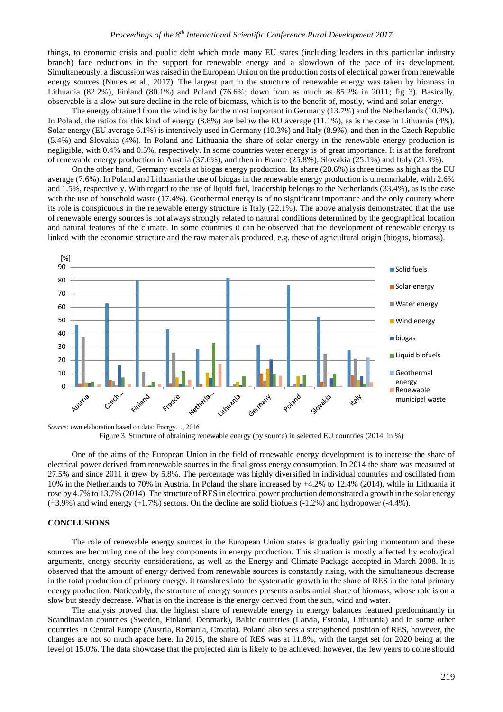things, to economic crisis and public debt which made many EU states (including leaders in this particular industry branch) face reductions in the support for renewable energy and a slowdown of the pace of its development. Simultaneously, a discussion was raised in the European Union on the production costs of electrical power from renewable energy sources (Nunes et al., 2017). The largest part in the structure of renewable energy was taken by biomass in Lithuania (82.2%), Finland (80.1%) and Poland (76.6%; down from as much as 85.2% in 2011; fig. 3). Basically, observable is a slow but sure decline in the role of biomass, which is to the benefit of, mostly, wind and solar energy.

The energy obtained from the wind is by far the most important in Germany (13.7%) and the Netherlands (10.9%). In Poland, the ratios for this kind of energy (8.8%) are below the EU average (11.1%), as is the case in Lithuania (4%). Solar energy (EU average 6.1%) is intensively used in Germany (10.3%) and Italy (8.9%), and then in the Czech Republic (5.4%) and Slovakia (4%). In Poland and Lithuania the share of solar energy in the renewable energy production is negligible, with 0.4% and 0.5%, respectively. In some countries water energy is of great importance. It is at the forefront of renewable energy production in Austria (37.6%), and then in France (25.8%), Slovakia (25.1%) and Italy (21.3%).

On the other hand, Germany excels at biogas energy production. Its share (20.6%) is three times as high as the EU average (7.6%). In Poland and Lithuania the use of biogas in the renewable energy production is unremarkable, with 2.6% and 1.5%, respectively. With regard to the use of liquid fuel, leadership belongs to the Netherlands (33.4%), as is the case with the use of household waste (17.4%). Geothermal energy is of no significant importance and the only country where its role is conspicuous in the renewable energy structure is Italy (22.1%). The above analysis demonstrated that the use of renewable energy sources is not always strongly related to natural conditions determined by the geographical location and natural features of the climate. In some countries it can be observed that the development of renewable energy is linked with the economic structure and the raw materials produced, e.g. these of agricultural origin (biogas, biomass).



*Source:* own elaboration based on data: Energy…, 2016 Figure 3. Structure of obtaining renewable energy (by source) in selected EU countries (2014, in %)

One of the aims of the European Union in the field of renewable energy development is to increase the share of electrical power derived from renewable sources in the final gross energy consumption. In 2014 the share was measured at 27.5% and since 2011 it grew by 5.8%. The percentage was highly diversified in individual countries and oscillated from 10% in the Netherlands to 70% in Austria. In Poland the share increased by +4.2% to 12.4% (2014), while in Lithuania it rose by 4.7% to 13.7% (2014). The structure of RES in electrical power production demonstrated a growth in the solar energy (+3.9%) and wind energy (+1.7%) sectors. On the decline are solid biofuels (-1.2%) and hydropower (-4.4%).

## **CONCLUSIONS**

The role of renewable energy sources in the European Union states is gradually gaining momentum and these sources are becoming one of the key components in energy production. This situation is mostly affected by ecological arguments, energy security considerations, as well as the Energy and Climate Package accepted in March 2008. It is observed that the amount of energy derived from renewable sources is constantly rising, with the simultaneous decrease in the total production of primary energy. It translates into the systematic growth in the share of RES in the total primary energy production. Noticeably, the structure of energy sources presents a substantial share of biomass, whose role is on a slow but steady decrease. What is on the increase is the energy derived from the sun, wind and water.

The analysis proved that the highest share of renewable energy in energy balances featured predominantly in Scandinavian countries (Sweden, Finland, Denmark), Baltic countries (Latvia, Estonia, Lithuania) and in some other countries in Central Europe (Austria, Romania, Croatia). Poland also sees a strengthened position of RES, however, the changes are not so much apace here. In 2015, the share of RES was at 11.8%, with the target set for 2020 being at the level of 15.0%. The data showcase that the projected aim is likely to be achieved; however, the few years to come should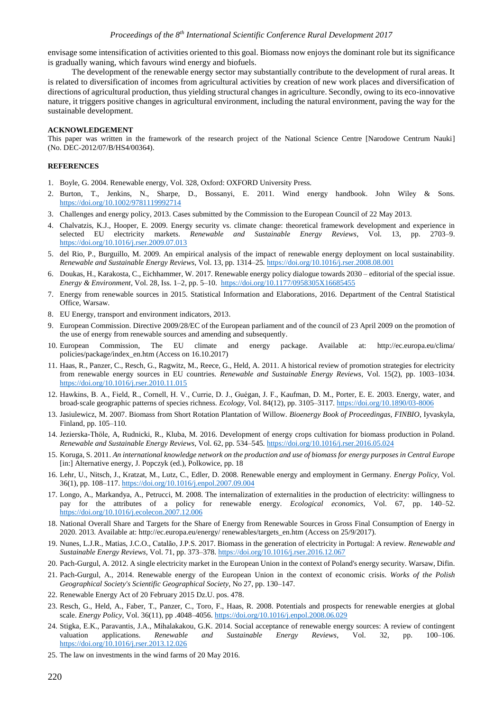envisage some intensification of activities oriented to this goal. Biomass now enjoys the dominant role but its significance is gradually waning, which favours wind energy and biofuels.

The development of the renewable energy sector may substantially contribute to the development of rural areas. It is related to diversification of incomes from agricultural activities by creation of new work places and diversification of directions of agricultural production, thus yielding structural changes in agriculture. Secondly, owing to its eco-innovative nature, it triggers positive changes in agricultural environment, including the natural environment, paving the way for the sustainable development.

#### **ACKNOWLEDGEMENT**

This paper was written in the framework of the research project of the National Science Centre [Narodowe Centrum Nauki] (No. DEC-2012/07/B/HS4/00364).

### **REFERENCES**

- 1. Boyle, G. 2004. Renewable energy, Vol. 328, Oxford: OXFORD University Press.
- 2. Burton, T., Jenkins, N., Sharpe, D., Bossanyi, E. 2011. Wind energy handbook. John Wiley & Sons. <https://doi.org/10.1002/9781119992714>
- 3. Challenges and energy policy, 2013. Cases submitted by the Commission to the European Council of 22 May 2013.
- 4. Chalvatzis, K.J., Hooper, E. 2009. Energy security vs. climate change: theoretical framework development and experience in selected EU electricity markets. *Renewable and Sustainable Energy Reviews*, Vol. 13, pp. 2703–9. <https://doi.org/10.1016/j.rser.2009.07.013>
- 5. del Rio, P., Burguillo, M. 2009. An empirical analysis of the impact of renewable energy deployment on local sustainability. *Renewable and Sustainable Energy Reviews*, Vol. 13, pp. 1314–25.<https://doi.org/10.1016/j.rser.2008.08.001>
- 6. Doukas, H., Karakosta, C., Eichhammer, W. 2017. Renewable energy policy dialogue towards 2030 editorial of the special issue. *Energy & Environment*, Vol. 28, Iss. 1–2, pp. 5–10.<https://doi.org/10.1177/0958305X16685455>
- 7. Energy from renewable sources in 2015. Statistical Information and Elaborations, 2016. Department of the Central Statistical Office, Warsaw.
- 8. EU Energy, transport and environment indicators, 2013.
- 9. European Commission. Directive 2009/28/EC of the European parliament and of the council of 23 April 2009 on the promotion of the use of energy from renewable sources and amending and subsequently.
- 10. European Commission, The EU climate and energy package. Available at: http://ec.europa.eu/clima/ policies/package/index\_en.htm (Access on 16.10.2017)
- 11. Haas, R., Panzer, C., Resch, G., Ragwitz, M., Reece, G., Held, A. 2011. A historical review of promotion strategies for electricity from renewable energy sources in EU countries. *Renewable and Sustainable Energy Reviews*, Vol. 15(2), pp. 1003–1034. <https://doi.org/10.1016/j.rser.2010.11.015>
- 12. Hawkins, B. A., Field, R., Cornell, H. V., Currie, D. J., Guégan, J. F., Kaufman, D. M., Porter, E. E. 2003. Energy, water, and broad‐scale geographic patterns of species richness. *Ecology*, Vol. 84(12), pp. 3105–3117. <https://doi.org/10.1890/03-8006>
- 13. Jasiulewicz, M. 2007. Biomass from Short Rotation Plantation of Willow. *Bioenergy Book of Proceedingas, FINBIO*, Iyvaskyla, Finland, pp. 105–110.
- 14. Jezierska-Thöle, A, Rudnicki, R., Kluba, M. 2016. Development of energy crops cultivation for biomass production in Poland. *Renewable and Sustainable Energy Reviews,* Vol. 62, pp. 534–545.<https://doi.org/10.1016/j.rser.2016.05.024>
- 15. Koruga, S. 2011. *An international knowledge network on the production and use of biomass for energy purposes in Central Europe* [in:] Alternative energy, J. Popczyk (ed.), Polkowice, pp. 18
- 16. Lehr, U., Nitsch, J., Kratzat, M., Lutz, C., Edler, D. 2008. Renewable energy and employment in Germany. *Energy Policy*, Vol. 36(1), pp. 108–117. <https://doi.org/10.1016/j.enpol.2007.09.004>
- 17. Longo, A., Markandya, A., Petrucci, M. 2008. The internalization of externalities in the production of electricity: willingness to pay for the attributes of a policy for renewable energy. *Ecological economics*, Vol. 67, pp. 140–52. <https://doi.org/10.1016/j.ecolecon.2007.12.006>
- 18. National Overall Share and Targets for the Share of Energy from Renewable Sources in Gross Final Consumption of Energy in 2020. 2013. Available at: http://ec.europa.eu/energy/ renewables/targets\_en.htm (Access on 25/9/2017).
- 19. Nunes, L.J.R., Matias, J.C.O., Catalão, J.P.S. 2017. Biomass in the generation of electricity in Portugal: A review. *Renewable and Sustainable Energy Reviews*, Vol. 71, pp. 373–378. <https://doi.org/10.1016/j.rser.2016.12.067>
- 20. Pach-Gurgul, A. 2012. A single electricity market in the European Union in the context of Poland's energy security. Warsaw, Difin.
- 21. Pach-Gurgul, A., 2014. Renewable energy of the European Union in the context of economic crisis. *Works of the Polish Geographical Society's Scientific Geographical Society*, No 27, pp. 130–147.
- 22. Renewable Energy Act of 20 February 2015 Dz.U. pos. 478.
- 23. Resch, G., Held, A., Faber, T., Panzer, C., Toro, F., Haas, R. 2008. Potentials and prospects for renewable energies at global scale. *Energy Policy*, Vol. 36(11), pp .4048–4056. <https://doi.org/10.1016/j.enpol.2008.06.029>
- 24. Stigka, E.K., Paravantis, J.A., Mihalakakou, G.K. 2014. Social acceptance of renewable energy sources: A review of contingent valuation applications. *Renewable and Sustainable Energy Reviews*, Vol. 32, pp. 100–106. <https://doi.org/10.1016/j.rser.2013.12.026>
- 25. The law on investments in the wind farms of 20 May 2016.